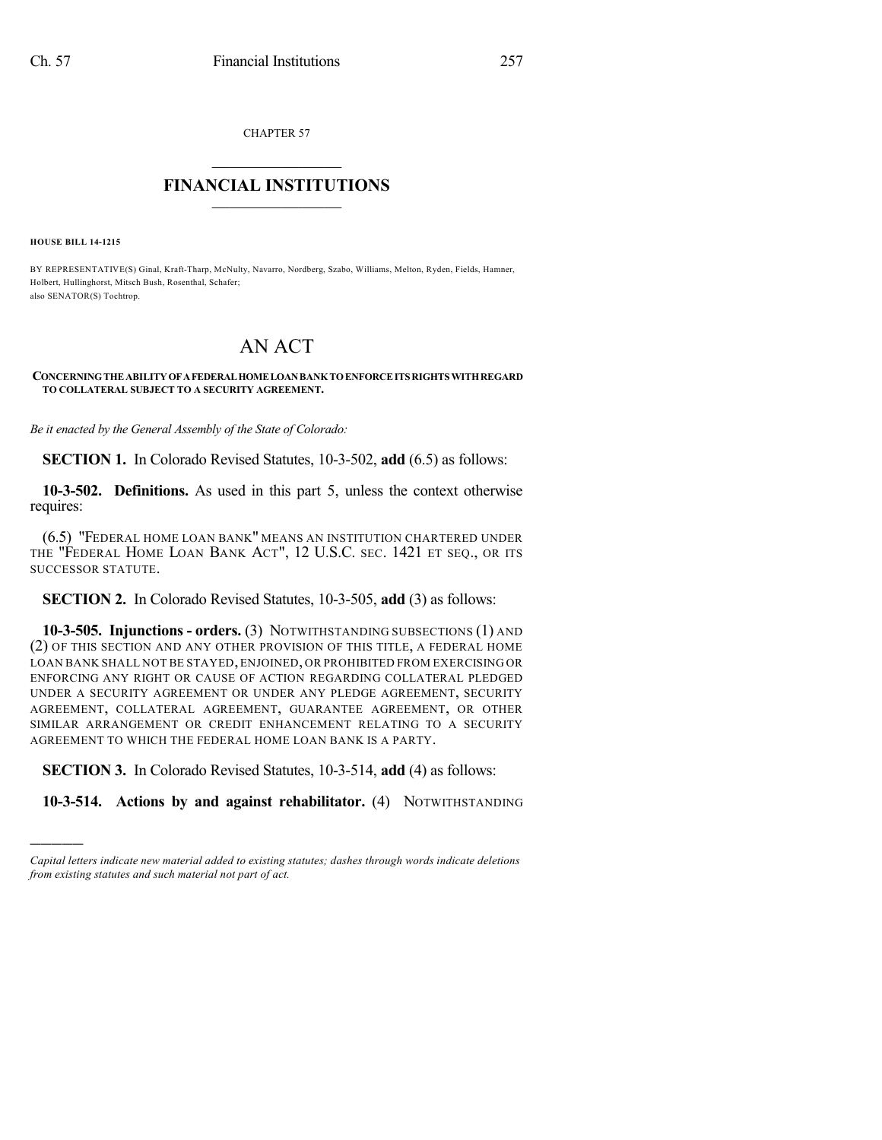CHAPTER 57

## $\mathcal{L}_\text{max}$  . The set of the set of the set of the set of the set of the set of the set of the set of the set of the set of the set of the set of the set of the set of the set of the set of the set of the set of the set **FINANCIAL INSTITUTIONS**  $\frac{1}{2}$  ,  $\frac{1}{2}$  ,  $\frac{1}{2}$  ,  $\frac{1}{2}$  ,  $\frac{1}{2}$  ,  $\frac{1}{2}$  ,  $\frac{1}{2}$

**HOUSE BILL 14-1215**

)))))

BY REPRESENTATIVE(S) Ginal, Kraft-Tharp, McNulty, Navarro, Nordberg, Szabo, Williams, Melton, Ryden, Fields, Hamner, Holbert, Hullinghorst, Mitsch Bush, Rosenthal, Schafer; also SENATOR(S) Tochtrop.

## AN ACT

## **CONCERNINGTHEABILITYOFAFEDERALHOMELOANBANKTOENFORCEITS RIGHTS WITHREGARD TO COLLATERAL SUBJECT TO A SECURITY AGREEMENT.**

*Be it enacted by the General Assembly of the State of Colorado:*

**SECTION 1.** In Colorado Revised Statutes, 10-3-502, **add** (6.5) as follows:

**10-3-502. Definitions.** As used in this part 5, unless the context otherwise requires:

(6.5) "FEDERAL HOME LOAN BANK" MEANS AN INSTITUTION CHARTERED UNDER THE "FEDERAL HOME LOAN BANK ACT", 12 U.S.C. SEC. 1421 ET SEQ., OR ITS SUCCESSOR STATUTE.

**SECTION 2.** In Colorado Revised Statutes, 10-3-505, **add** (3) as follows:

**10-3-505. Injunctions - orders.** (3) NOTWITHSTANDING SUBSECTIONS (1) AND (2) OF THIS SECTION AND ANY OTHER PROVISION OF THIS TITLE, A FEDERAL HOME LOAN BANK SHALL NOT BE STAYED, ENJOINED, OR PROHIBITED FROM EXERCISING OR ENFORCING ANY RIGHT OR CAUSE OF ACTION REGARDING COLLATERAL PLEDGED UNDER A SECURITY AGREEMENT OR UNDER ANY PLEDGE AGREEMENT, SECURITY AGREEMENT, COLLATERAL AGREEMENT, GUARANTEE AGREEMENT, OR OTHER SIMILAR ARRANGEMENT OR CREDIT ENHANCEMENT RELATING TO A SECURITY AGREEMENT TO WHICH THE FEDERAL HOME LOAN BANK IS A PARTY.

**SECTION 3.** In Colorado Revised Statutes, 10-3-514, **add** (4) as follows:

**10-3-514. Actions by and against rehabilitator.** (4) NOTWITHSTANDING

*Capital letters indicate new material added to existing statutes; dashes through words indicate deletions from existing statutes and such material not part of act.*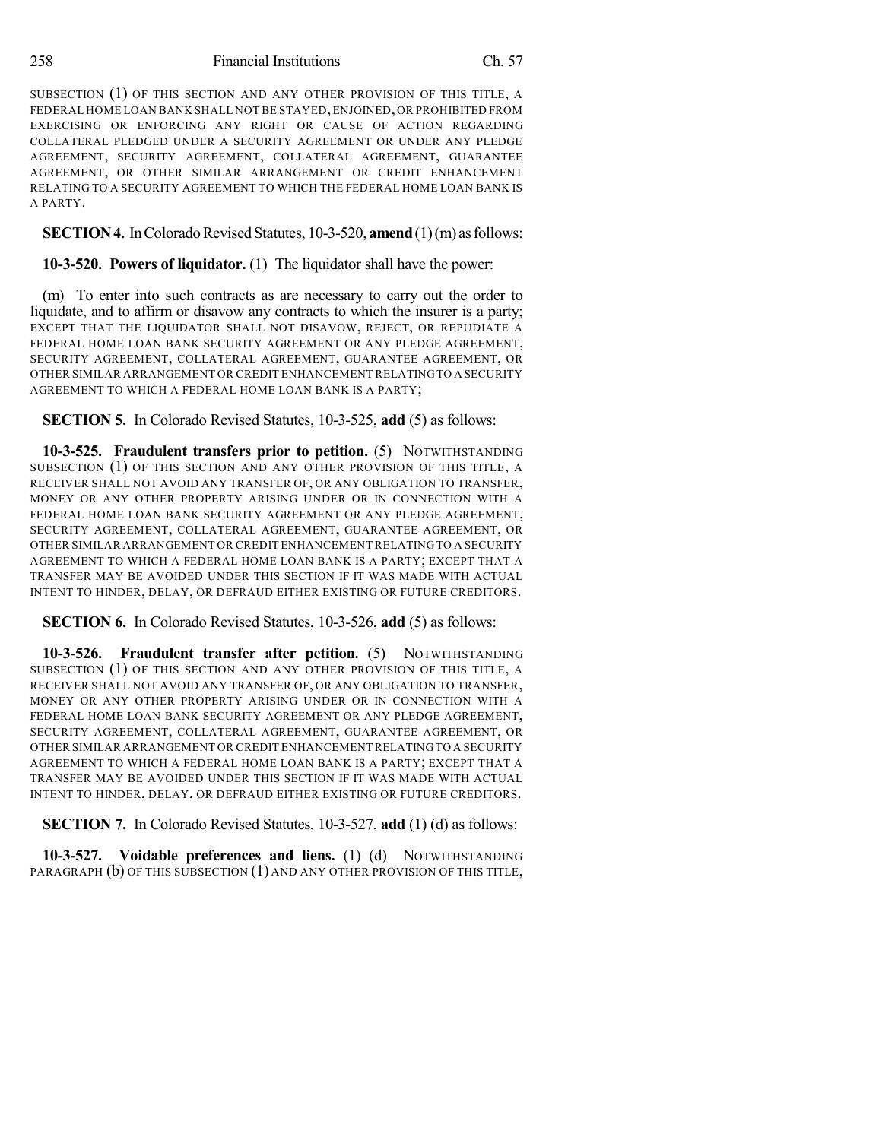258 Financial Institutions Ch. 57

SUBSECTION (1) OF THIS SECTION AND ANY OTHER PROVISION OF THIS TITLE, A FEDERAL HOME LOAN BANK SHALL NOT BE STAYED,ENJOINED, OR PROHIBITED FROM EXERCISING OR ENFORCING ANY RIGHT OR CAUSE OF ACTION REGARDING COLLATERAL PLEDGED UNDER A SECURITY AGREEMENT OR UNDER ANY PLEDGE AGREEMENT, SECURITY AGREEMENT, COLLATERAL AGREEMENT, GUARANTEE AGREEMENT, OR OTHER SIMILAR ARRANGEMENT OR CREDIT ENHANCEMENT RELATING TO A SECURITY AGREEMENT TO WHICH THE FEDERAL HOME LOAN BANK IS A PARTY.

**SECTION 4.** In Colorado Revised Statutes, 10-3-520, **amend** (1)(m) as follows:

**10-3-520. Powers of liquidator.** (1) The liquidator shall have the power:

(m) To enter into such contracts as are necessary to carry out the order to liquidate, and to affirm or disavow any contracts to which the insurer is a party; EXCEPT THAT THE LIQUIDATOR SHALL NOT DISAVOW, REJECT, OR REPUDIATE A FEDERAL HOME LOAN BANK SECURITY AGREEMENT OR ANY PLEDGE AGREEMENT, SECURITY AGREEMENT, COLLATERAL AGREEMENT, GUARANTEE AGREEMENT, OR OTHER SIMILAR ARRANGEMENT OR CREDIT ENHANCEMENT RELATINGTO A SECURITY AGREEMENT TO WHICH A FEDERAL HOME LOAN BANK IS A PARTY;

**SECTION 5.** In Colorado Revised Statutes, 10-3-525, **add** (5) as follows:

**10-3-525. Fraudulent transfers prior to petition.** (5) NOTWITHSTANDING SUBSECTION (1) OF THIS SECTION AND ANY OTHER PROVISION OF THIS TITLE, A RECEIVER SHALL NOT AVOID ANY TRANSFER OF, OR ANY OBLIGATION TO TRANSFER, MONEY OR ANY OTHER PROPERTY ARISING UNDER OR IN CONNECTION WITH A FEDERAL HOME LOAN BANK SECURITY AGREEMENT OR ANY PLEDGE AGREEMENT, SECURITY AGREEMENT, COLLATERAL AGREEMENT, GUARANTEE AGREEMENT, OR OTHER SIMILAR ARRANGEMENT OR CREDIT ENHANCEMENT RELATING TO A SECURITY AGREEMENT TO WHICH A FEDERAL HOME LOAN BANK IS A PARTY; EXCEPT THAT A TRANSFER MAY BE AVOIDED UNDER THIS SECTION IF IT WAS MADE WITH ACTUAL INTENT TO HINDER, DELAY, OR DEFRAUD EITHER EXISTING OR FUTURE CREDITORS.

**SECTION 6.** In Colorado Revised Statutes, 10-3-526, **add** (5) as follows:

**10-3-526. Fraudulent transfer after petition.** (5) NOTWITHSTANDING SUBSECTION (1) OF THIS SECTION AND ANY OTHER PROVISION OF THIS TITLE, A RECEIVER SHALL NOT AVOID ANY TRANSFER OF, OR ANY OBLIGATION TO TRANSFER, MONEY OR ANY OTHER PROPERTY ARISING UNDER OR IN CONNECTION WITH A FEDERAL HOME LOAN BANK SECURITY AGREEMENT OR ANY PLEDGE AGREEMENT, SECURITY AGREEMENT, COLLATERAL AGREEMENT, GUARANTEE AGREEMENT, OR OTHER SIMILAR ARRANGEMENT OR CREDIT ENHANCEMENT RELATING TO A SECURITY AGREEMENT TO WHICH A FEDERAL HOME LOAN BANK IS A PARTY; EXCEPT THAT A TRANSFER MAY BE AVOIDED UNDER THIS SECTION IF IT WAS MADE WITH ACTUAL INTENT TO HINDER, DELAY, OR DEFRAUD EITHER EXISTING OR FUTURE CREDITORS.

**SECTION 7.** In Colorado Revised Statutes, 10-3-527, **add** (1) (d) as follows:

**10-3-527. Voidable preferences and liens.** (1) (d) NOTWITHSTANDING PARAGRAPH (b) OF THIS SUBSECTION (1) AND ANY OTHER PROVISION OF THIS TITLE,